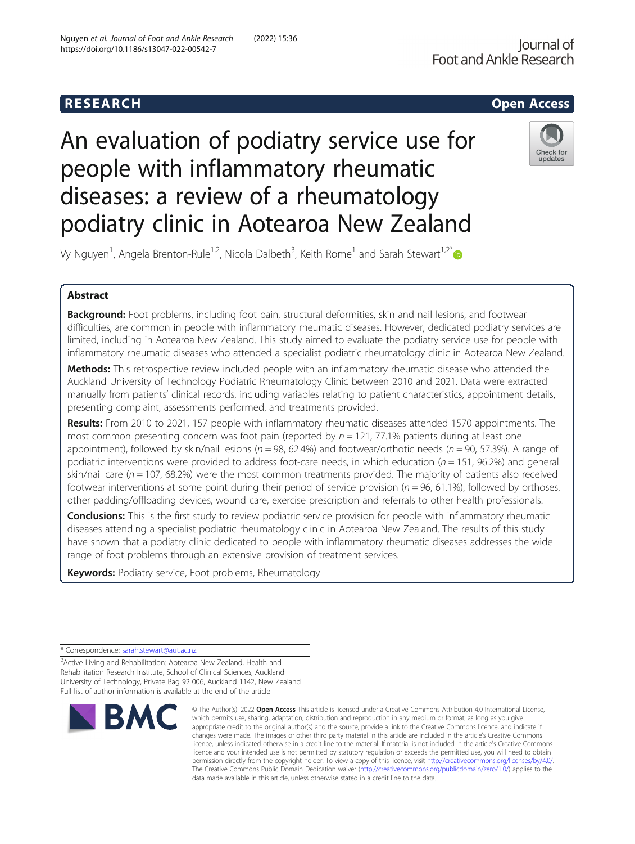## R E S EAR CH Open Access

# An evaluation of podiatry service use for people with inflammatory rheumatic diseases: a review of a rheumatology podiatry clinic in Aotearoa New Zealand



Vy Nguyen<sup>1</sup>, Angela Brenton-Rule<sup>1,2</sup>, Nicola Dalbeth<sup>3</sup>, Keith Rome<sup>1</sup> and Sarah Stewart<sup>1,2[\\*](http://orcid.org/0000-0002-9318-5627)</sup>

### Abstract

**Background:** Foot problems, including foot pain, structural deformities, skin and nail lesions, and footwear difficulties, are common in people with inflammatory rheumatic diseases. However, dedicated podiatry services are limited, including in Aotearoa New Zealand. This study aimed to evaluate the podiatry service use for people with inflammatory rheumatic diseases who attended a specialist podiatric rheumatology clinic in Aotearoa New Zealand.

Methods: This retrospective review included people with an inflammatory rheumatic disease who attended the Auckland University of Technology Podiatric Rheumatology Clinic between 2010 and 2021. Data were extracted manually from patients' clinical records, including variables relating to patient characteristics, appointment details, presenting complaint, assessments performed, and treatments provided.

Results: From 2010 to 2021, 157 people with inflammatory rheumatic diseases attended 1570 appointments. The most common presenting concern was foot pain (reported by  $n = 121$ , 77.1% patients during at least one appointment), followed by skin/nail lesions ( $n = 98$ , 62.4%) and footwear/orthotic needs ( $n = 90$ , 57.3%). A range of podiatric interventions were provided to address foot-care needs, in which education ( $n = 151$ , 96.2%) and general skin/nail care ( $n = 107$ , 68.2%) were the most common treatments provided. The majority of patients also received footwear interventions at some point during their period of service provision ( $n = 96$ , 61.1%), followed by orthoses, other padding/offloading devices, wound care, exercise prescription and referrals to other health professionals.

**Conclusions:** This is the first study to review podiatric service provision for people with inflammatory rheumatic diseases attending a specialist podiatric rheumatology clinic in Aotearoa New Zealand. The results of this study have shown that a podiatry clinic dedicated to people with inflammatory rheumatic diseases addresses the wide range of foot problems through an extensive provision of treatment services.

Keywords: Podiatry service, Foot problems, Rheumatology

<sup>2</sup> Active Living and Rehabilitation: Aotearoa New Zealand, Health and Rehabilitation Research Institute, School of Clinical Sciences, Auckland University of Technology, Private Bag 92 006, Auckland 1142, New Zealand Full list of author information is available at the end of the article



<sup>©</sup> The Author(s), 2022 **Open Access** This article is licensed under a Creative Commons Attribution 4.0 International License, which permits use, sharing, adaptation, distribution and reproduction in any medium or format, as long as you give appropriate credit to the original author(s) and the source, provide a link to the Creative Commons licence, and indicate if changes were made. The images or other third party material in this article are included in the article's Creative Commons licence, unless indicated otherwise in a credit line to the material. If material is not included in the article's Creative Commons licence and your intended use is not permitted by statutory regulation or exceeds the permitted use, you will need to obtain permission directly from the copyright holder. To view a copy of this licence, visit [http://creativecommons.org/licenses/by/4.0/.](http://creativecommons.org/licenses/by/4.0/) The Creative Commons Public Domain Dedication waiver [\(http://creativecommons.org/publicdomain/zero/1.0/](http://creativecommons.org/publicdomain/zero/1.0/)) applies to the data made available in this article, unless otherwise stated in a credit line to the data.

<sup>\*</sup> Correspondence: [sarah.stewart@aut.ac.nz](mailto:sarah.stewart@aut.ac.nz)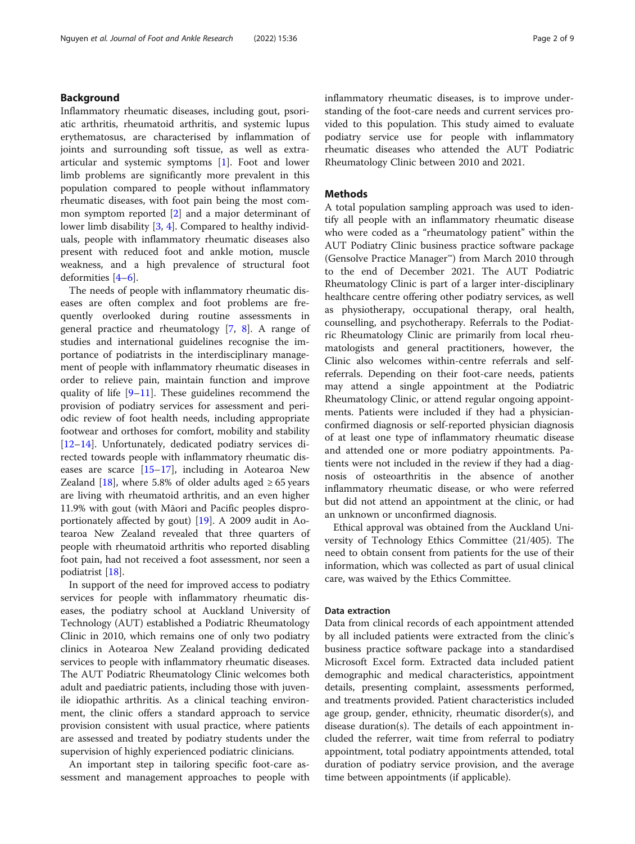Inflammatory rheumatic diseases, including gout, psoriatic arthritis, rheumatoid arthritis, and systemic lupus erythematosus, are characterised by inflammation of joints and surrounding soft tissue, as well as extraarticular and systemic symptoms [[1\]](#page-7-0). Foot and lower limb problems are significantly more prevalent in this population compared to people without inflammatory rheumatic diseases, with foot pain being the most common symptom reported [[2\]](#page-7-0) and a major determinant of lower limb disability [\[3](#page-7-0), [4](#page-7-0)]. Compared to healthy individuals, people with inflammatory rheumatic diseases also present with reduced foot and ankle motion, muscle weakness, and a high prevalence of structural foot deformities [[4](#page-7-0)–[6](#page-7-0)].

The needs of people with inflammatory rheumatic diseases are often complex and foot problems are frequently overlooked during routine assessments in general practice and rheumatology [\[7](#page-8-0), [8\]](#page-8-0). A range of studies and international guidelines recognise the importance of podiatrists in the interdisciplinary management of people with inflammatory rheumatic diseases in order to relieve pain, maintain function and improve quality of life [\[9](#page-8-0)–[11](#page-8-0)]. These guidelines recommend the provision of podiatry services for assessment and periodic review of foot health needs, including appropriate footwear and orthoses for comfort, mobility and stability [[12](#page-8-0)–[14](#page-8-0)]. Unfortunately, dedicated podiatry services directed towards people with inflammatory rheumatic diseases are scarce  $[15-17]$  $[15-17]$  $[15-17]$ , including in Aotearoa New Zealand [[18\]](#page-8-0), where 5.8% of older adults aged  $\geq 65$  years are living with rheumatoid arthritis, and an even higher 11.9% with gout (with Māori and Pacific peoples disproportionately affected by gout) [\[19](#page-8-0)]. A 2009 audit in Aotearoa New Zealand revealed that three quarters of people with rheumatoid arthritis who reported disabling foot pain, had not received a foot assessment, nor seen a podiatrist [[18](#page-8-0)].

In support of the need for improved access to podiatry services for people with inflammatory rheumatic diseases, the podiatry school at Auckland University of Technology (AUT) established a Podiatric Rheumatology Clinic in 2010, which remains one of only two podiatry clinics in Aotearoa New Zealand providing dedicated services to people with inflammatory rheumatic diseases. The AUT Podiatric Rheumatology Clinic welcomes both adult and paediatric patients, including those with juvenile idiopathic arthritis. As a clinical teaching environment, the clinic offers a standard approach to service provision consistent with usual practice, where patients are assessed and treated by podiatry students under the supervision of highly experienced podiatric clinicians.

An important step in tailoring specific foot-care assessment and management approaches to people with inflammatory rheumatic diseases, is to improve understanding of the foot-care needs and current services provided to this population. This study aimed to evaluate podiatry service use for people with inflammatory rheumatic diseases who attended the AUT Podiatric Rheumatology Clinic between 2010 and 2021.

#### Methods

A total population sampling approach was used to identify all people with an inflammatory rheumatic disease who were coded as a "rheumatology patient" within the AUT Podiatry Clinic business practice software package (Gensolve Practice Manager™) from March 2010 through to the end of December 2021. The AUT Podiatric Rheumatology Clinic is part of a larger inter-disciplinary healthcare centre offering other podiatry services, as well as physiotherapy, occupational therapy, oral health, counselling, and psychotherapy. Referrals to the Podiatric Rheumatology Clinic are primarily from local rheumatologists and general practitioners, however, the Clinic also welcomes within-centre referrals and selfreferrals. Depending on their foot-care needs, patients may attend a single appointment at the Podiatric Rheumatology Clinic, or attend regular ongoing appointments. Patients were included if they had a physicianconfirmed diagnosis or self-reported physician diagnosis of at least one type of inflammatory rheumatic disease and attended one or more podiatry appointments. Patients were not included in the review if they had a diagnosis of osteoarthritis in the absence of another inflammatory rheumatic disease, or who were referred but did not attend an appointment at the clinic, or had an unknown or unconfirmed diagnosis.

Ethical approval was obtained from the Auckland University of Technology Ethics Committee (21/405). The need to obtain consent from patients for the use of their information, which was collected as part of usual clinical care, was waived by the Ethics Committee.

#### Data extraction

Data from clinical records of each appointment attended by all included patients were extracted from the clinic's business practice software package into a standardised Microsoft Excel form. Extracted data included patient demographic and medical characteristics, appointment details, presenting complaint, assessments performed, and treatments provided. Patient characteristics included age group, gender, ethnicity, rheumatic disorder(s), and disease duration(s). The details of each appointment included the referrer, wait time from referral to podiatry appointment, total podiatry appointments attended, total duration of podiatry service provision, and the average time between appointments (if applicable).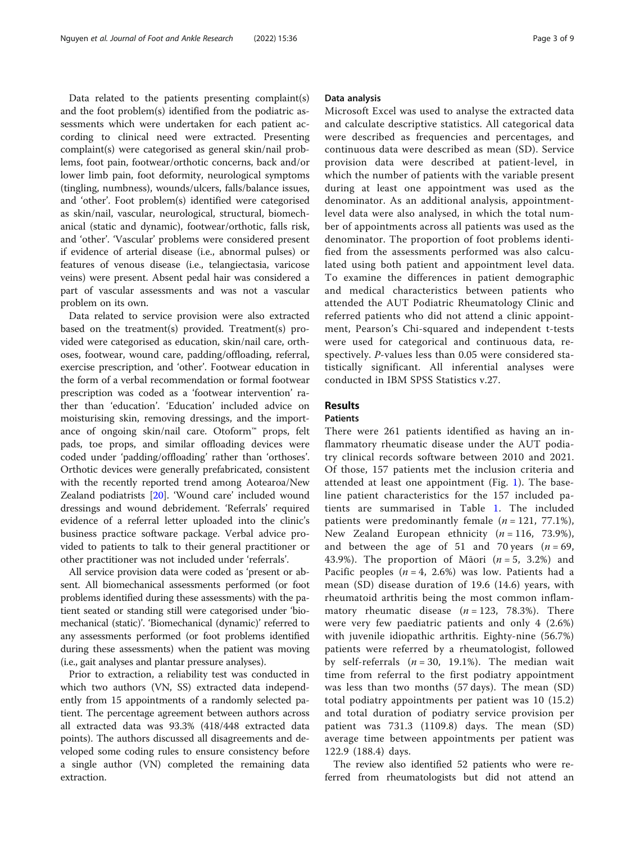Data related to the patients presenting complaint(s) and the foot problem(s) identified from the podiatric assessments which were undertaken for each patient according to clinical need were extracted. Presenting complaint(s) were categorised as general skin/nail problems, foot pain, footwear/orthotic concerns, back and/or lower limb pain, foot deformity, neurological symptoms (tingling, numbness), wounds/ulcers, falls/balance issues, and 'other'. Foot problem(s) identified were categorised as skin/nail, vascular, neurological, structural, biomechanical (static and dynamic), footwear/orthotic, falls risk, and 'other'. 'Vascular' problems were considered present if evidence of arterial disease (i.e., abnormal pulses) or features of venous disease (i.e., telangiectasia, varicose veins) were present. Absent pedal hair was considered a part of vascular assessments and was not a vascular problem on its own.

Data related to service provision were also extracted based on the treatment(s) provided. Treatment(s) provided were categorised as education, skin/nail care, orthoses, footwear, wound care, padding/offloading, referral, exercise prescription, and 'other'. Footwear education in the form of a verbal recommendation or formal footwear prescription was coded as a 'footwear intervention' rather than 'education'. 'Education' included advice on moisturising skin, removing dressings, and the importance of ongoing skin/nail care. Otoform™ props, felt pads, toe props, and similar offloading devices were coded under 'padding/offloading' rather than 'orthoses'. Orthotic devices were generally prefabricated, consistent with the recently reported trend among Aotearoa/New Zealand podiatrists [[20](#page-8-0)]. 'Wound care' included wound dressings and wound debridement. 'Referrals' required evidence of a referral letter uploaded into the clinic's business practice software package. Verbal advice provided to patients to talk to their general practitioner or other practitioner was not included under 'referrals'.

All service provision data were coded as 'present or absent. All biomechanical assessments performed (or foot problems identified during these assessments) with the patient seated or standing still were categorised under 'biomechanical (static)'. 'Biomechanical (dynamic)' referred to any assessments performed (or foot problems identified during these assessments) when the patient was moving (i.e., gait analyses and plantar pressure analyses).

Prior to extraction, a reliability test was conducted in which two authors (VN, SS) extracted data independently from 15 appointments of a randomly selected patient. The percentage agreement between authors across all extracted data was 93.3% (418/448 extracted data points). The authors discussed all disagreements and developed some coding rules to ensure consistency before a single author (VN) completed the remaining data extraction.

#### Data analysis

Microsoft Excel was used to analyse the extracted data and calculate descriptive statistics. All categorical data were described as frequencies and percentages, and continuous data were described as mean (SD). Service provision data were described at patient-level, in which the number of patients with the variable present during at least one appointment was used as the denominator. As an additional analysis, appointmentlevel data were also analysed, in which the total number of appointments across all patients was used as the denominator. The proportion of foot problems identified from the assessments performed was also calculated using both patient and appointment level data. To examine the differences in patient demographic and medical characteristics between patients who attended the AUT Podiatric Rheumatology Clinic and referred patients who did not attend a clinic appointment, Pearson's Chi-squared and independent t-tests were used for categorical and continuous data, respectively. P-values less than 0.05 were considered statistically significant. All inferential analyses were conducted in IBM SPSS Statistics v.27.

#### Results

#### Patients

There were 261 patients identified as having an inflammatory rheumatic disease under the AUT podiatry clinical records software between 2010 and 2021. Of those, 157 patients met the inclusion criteria and attended at least one appointment (Fig. [1](#page-3-0)). The baseline patient characteristics for the 157 included patients are summarised in Table [1.](#page-4-0) The included patients were predominantly female  $(n = 121, 77.1\%)$ , New Zealand European ethnicity  $(n = 116, 73.9\%)$ , and between the age of 51 and 70 years ( $n = 69$ , 43.9%). The proportion of Māori  $(n = 5, 3.2%)$  and Pacific peoples  $(n = 4, 2.6%)$  was low. Patients had a mean (SD) disease duration of 19.6 (14.6) years, with rheumatoid arthritis being the most common inflammatory rheumatic disease  $(n = 123, 78.3\%)$ . There were very few paediatric patients and only 4 (2.6%) with juvenile idiopathic arthritis. Eighty-nine (56.7%) patients were referred by a rheumatologist, followed by self-referrals  $(n = 30, 19.1\%)$ . The median wait time from referral to the first podiatry appointment was less than two months (57 days). The mean (SD) total podiatry appointments per patient was 10 (15.2) and total duration of podiatry service provision per patient was 731.3 (1109.8) days. The mean (SD) average time between appointments per patient was 122.9 (188.4) days.

The review also identified 52 patients who were referred from rheumatologists but did not attend an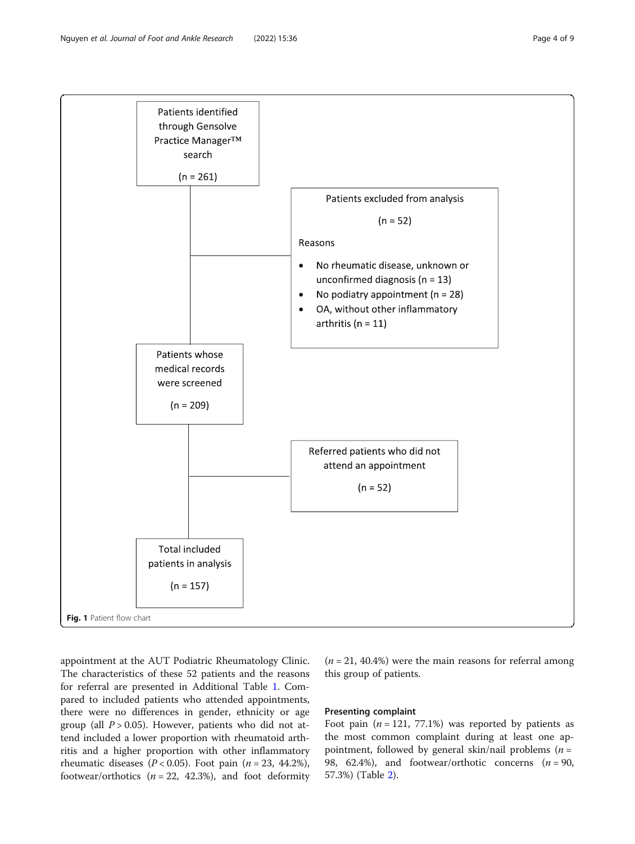<span id="page-3-0"></span>

appointment at the AUT Podiatric Rheumatology Clinic. The characteristics of these 52 patients and the reasons for referral are presented in Additional Table [1](#page-7-0). Compared to included patients who attended appointments, there were no differences in gender, ethnicity or age group (all  $P > 0.05$ ). However, patients who did not attend included a lower proportion with rheumatoid arthritis and a higher proportion with other inflammatory rheumatic diseases ( $P < 0.05$ ). Foot pain ( $n = 23, 44.2\%$ ), footwear/orthotics  $(n = 22, 42.3)$ , and foot deformity

 $(n = 21, 40.4%)$  were the main reasons for referral among this group of patients.

#### Presenting complaint

Foot pain  $(n = 121, 77.1%)$  was reported by patients as the most common complaint during at least one appointment, followed by general skin/nail problems ( $n =$ 98, 62.4%), and footwear/orthotic concerns  $(n = 90,$ 57.3%) (Table [2\)](#page-5-0).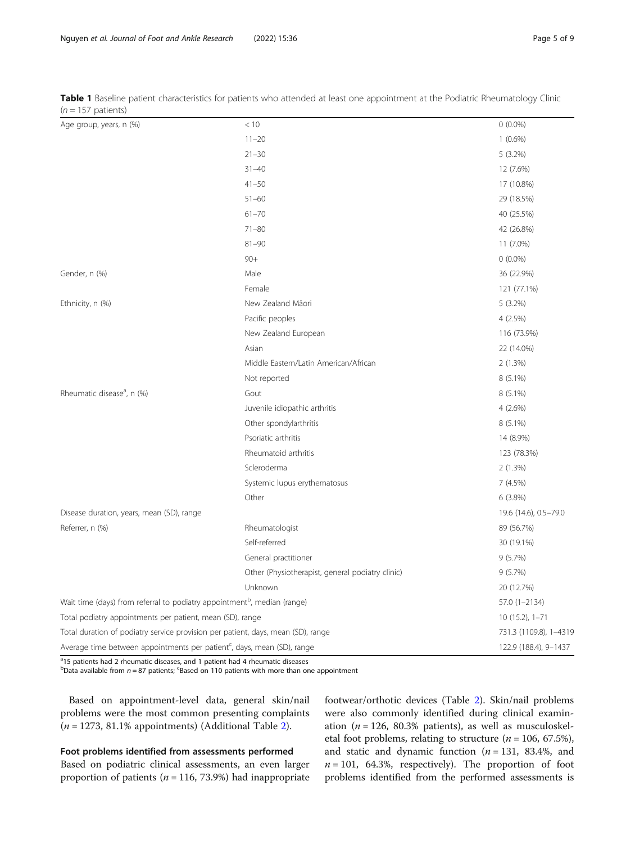| $V = U \cup V$ pation $U$                                                            |                                                  |                       |
|--------------------------------------------------------------------------------------|--------------------------------------------------|-----------------------|
| Age group, years, n (%)                                                              | < 10                                             | $0(0.0\%)$            |
|                                                                                      | $11 - 20$                                        | $1(0.6\%)$            |
|                                                                                      | $21 - 30$                                        | $5(3.2\%)$            |
|                                                                                      | $31 - 40$                                        | 12 (7.6%)             |
|                                                                                      | $41 - 50$                                        | 17 (10.8%)            |
|                                                                                      | $51 - 60$                                        | 29 (18.5%)            |
|                                                                                      | $61 - 70$                                        | 40 (25.5%)            |
|                                                                                      | $71 - 80$                                        | 42 (26.8%)            |
|                                                                                      | $81 - 90$                                        | 11 (7.0%)             |
|                                                                                      | $90+$                                            | $0(0.0\%)$            |
| Gender, n (%)                                                                        | Male                                             | 36 (22.9%)            |
|                                                                                      | Female                                           | 121 (77.1%)           |
| Ethnicity, n (%)                                                                     | New Zealand Māori                                | 5(3.2%)               |
|                                                                                      | Pacific peoples                                  | 4(2.5%)               |
|                                                                                      | New Zealand European                             | 116 (73.9%)           |
|                                                                                      | Asian                                            | 22 (14.0%)            |
|                                                                                      | Middle Eastern/Latin American/African            | 2(1.3%)               |
|                                                                                      | Not reported                                     | 8 (5.1%)              |
| Rheumatic disease <sup>a</sup> , n (%)                                               | Gout                                             | 8 (5.1%)              |
|                                                                                      | Juvenile idiopathic arthritis                    | $4(2.6\%)$            |
|                                                                                      | Other spondylarthritis                           | 8 (5.1%)              |
|                                                                                      | Psoriatic arthritis                              | 14 (8.9%)             |
|                                                                                      | Rheumatoid arthritis                             | 123 (78.3%)           |
|                                                                                      | Scleroderma                                      | 2(1.3%)               |
|                                                                                      | Systemic lupus erythematosus                     | 7(4.5%)               |
|                                                                                      | Other                                            | 6(3.8%)               |
| Disease duration, years, mean (SD), range                                            |                                                  | 19.6 (14.6), 0.5-79.0 |
| Referrer, n (%)                                                                      | Rheumatologist                                   | 89 (56.7%)            |
|                                                                                      | Self-referred                                    | 30 (19.1%)            |
|                                                                                      | General practitioner                             | 9(5.7%)               |
|                                                                                      | Other (Physiotherapist, general podiatry clinic) | 9(5.7%)               |
|                                                                                      | Unknown                                          | 20 (12.7%)            |
| Wait time (days) from referral to podiatry appointment <sup>b</sup> , median (range) |                                                  | 57.0 (1-2134)         |
| Total podiatry appointments per patient, mean (SD), range                            | $10(15.2), 1 - 71$                               |                       |
| Total duration of podiatry service provision per patient, days, mean (SD), range     | 731.3 (1109.8), 1-4319                           |                       |
| Average time between appointments per patient <sup>c</sup> , days, mean (SD), range  |                                                  | 122.9 (188.4), 9-1437 |

<span id="page-4-0"></span>Table 1 Baseline patient characteristics for patients who attended at least one appointment at the Podiatric Rheumatology Clinic  $(n - 157 \text{ n}^2)$ 

<sup>a</sup>15 patients had 2 rheumatic diseases, and 1 patient had 4 rheumatic diseases

 $^{\text{b}}$ Data available from  $n = 87$  patients; <sup>c</sup>Based on 110 patients with more than one appointment

Based on appointment-level data, general skin/nail problems were the most common presenting complaints  $(n = 1273, 81.1\%$  $(n = 1273, 81.1\%$  $(n = 1273, 81.1\%$  appointments) (Additional Table 2).

#### Foot problems identified from assessments performed

Based on podiatric clinical assessments, an even larger proportion of patients ( $n = 116, 73.9%$ ) had inappropriate footwear/orthotic devices (Table [2\)](#page-5-0). Skin/nail problems were also commonly identified during clinical examination ( $n = 126$ , 80.3% patients), as well as musculoskeletal foot problems, relating to structure ( $n = 106, 67.5\%$ ), and static and dynamic function  $(n = 131, 83.4\%)$ , and  $n = 101$ , 64.3%, respectively). The proportion of foot problems identified from the performed assessments is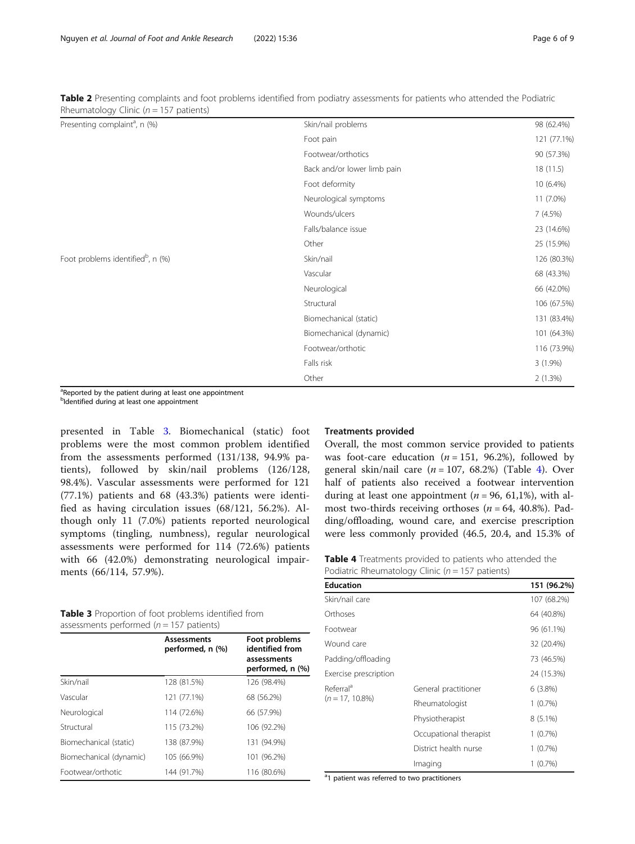| Presenting complaint <sup>a</sup> , n (%)     | Skin/nail problems          | 98 (62.4%)  |
|-----------------------------------------------|-----------------------------|-------------|
|                                               | Foot pain                   | 121 (77.1%) |
|                                               | Footwear/orthotics          | 90 (57.3%)  |
|                                               | Back and/or lower limb pain | 18(11.5)    |
|                                               | Foot deformity              | 10 (6.4%)   |
|                                               | Neurological symptoms       | 11 (7.0%)   |
|                                               | Wounds/ulcers               | 7(4.5%)     |
|                                               | Falls/balance issue         | 23 (14.6%)  |
|                                               | Other                       | 25 (15.9%)  |
| Foot problems identified <sup>b</sup> , n (%) | Skin/nail                   | 126 (80.3%) |
|                                               | Vascular                    | 68 (43.3%)  |
|                                               | Neurological                | 66 (42.0%)  |
|                                               | Structural                  | 106 (67.5%) |
|                                               | Biomechanical (static)      | 131 (83.4%) |
|                                               | Biomechanical (dynamic)     | 101 (64.3%) |
|                                               | Footwear/orthotic           | 116 (73.9%) |
|                                               | Falls risk                  | $3(1.9\%)$  |
|                                               | Other                       | 2(1.3%)     |

<span id="page-5-0"></span>Table 2 Presenting complaints and foot problems identified from podiatry assessments for patients who attended the Podiatric Rheumatology Clinic ( $n = 157$  patients)

<sup>a</sup>Reported by the patient during at least one appointment <sup>b</sup>Identified during at least one appointment

presented in Table 3. Biomechanical (static) foot problems were the most common problem identified from the assessments performed (131/138, 94.9% patients), followed by skin/nail problems (126/128, 98.4%). Vascular assessments were performed for 121 (77.1%) patients and 68 (43.3%) patients were identified as having circulation issues (68/121, 56.2%). Although only 11 (7.0%) patients reported neurological symptoms (tingling, numbness), regular neurological assessments were performed for 114 (72.6%) patients with 66 (42.0%) demonstrating neurological impairments (66/114, 57.9%).

| <b>Table 3</b> Proportion of foot problems identified from |  |
|------------------------------------------------------------|--|
| assessments performed ( $n = 157$ patients)                |  |

|                         | <b>Assessments</b><br>performed, n (%) | Foot problems<br>identified from<br>assessments<br>performed, n (%) |
|-------------------------|----------------------------------------|---------------------------------------------------------------------|
| Skin/nail               | 128 (81.5%)                            | 126 (98.4%)                                                         |
| Vascular                | 121 (77.1%)                            | 68 (56.2%)                                                          |
| Neurological            | 114 (72.6%)                            | 66 (57.9%)                                                          |
| Structural              | 115 (73.2%)                            | 106 (92.2%)                                                         |
| Biomechanical (static)  | 138 (87.9%)                            | 131 (94.9%)                                                         |
| Biomechanical (dynamic) | 105 (66.9%)                            | 101 (96.2%)                                                         |
| Footwear/orthotic       | 144 (91.7%)                            | 116 (80.6%)                                                         |

#### Treatments provided

Overall, the most common service provided to patients was foot-care education ( $n = 151$ , 96.2%), followed by general skin/nail care  $(n = 107, 68.2%)$  (Table 4). Over half of patients also received a footwear intervention during at least one appointment ( $n = 96, 61,1%$ ), with almost two-thirds receiving orthoses ( $n = 64$ , 40.8%). Padding/offloading, wound care, and exercise prescription were less commonly provided (46.5, 20.4, and 15.3% of

Table 4 Treatments provided to patients who attended the Podiatric Rheumatology Clinic ( $n = 157$  patients)

| <b>Education</b>      |                        | 151 (96.2%) |
|-----------------------|------------------------|-------------|
| Skin/nail care        |                        | 107 (68.2%) |
| Orthoses              |                        | 64 (40.8%)  |
| Footwear              |                        | 96 (61.1%)  |
| Wound care            |                        | 32 (20.4%)  |
| Padding/offloading    |                        | 73 (46.5%)  |
| Exercise prescription |                        | 24 (15.3%)  |
| Referral <sup>a</sup> | General practitioner   | $6(3.8\%)$  |
| $(n = 17, 10.8\%)$    | Rheumatologist         | $1(0.7\%)$  |
|                       | Physiotherapist        | $8(5.1\%)$  |
|                       | Occupational therapist | $1(0.7\%)$  |
|                       | District health nurse  | 1(0.7%)     |
|                       | Imaging                | 1(0.7%)     |

<sup>a</sup>1 patient was referred to two practitioners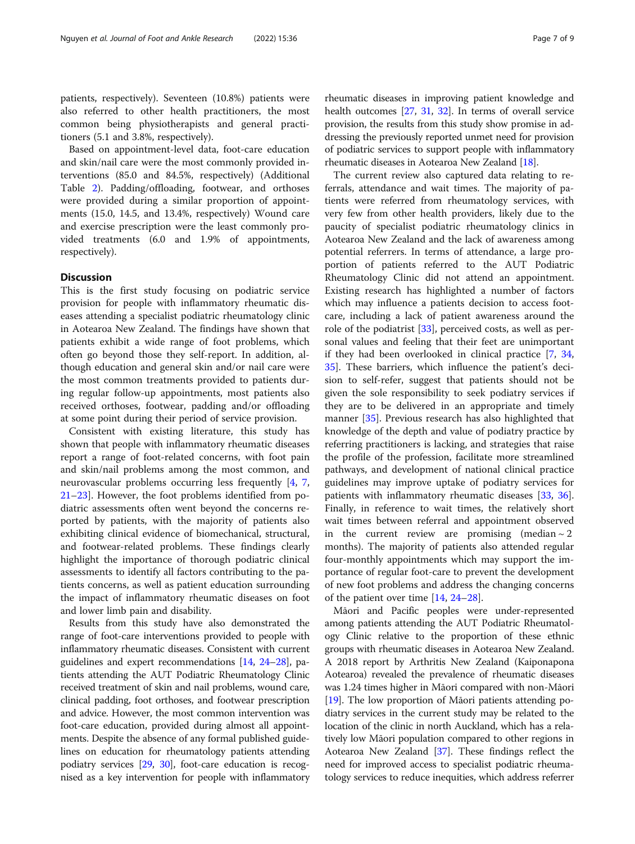patients, respectively). Seventeen (10.8%) patients were also referred to other health practitioners, the most common being physiotherapists and general practitioners (5.1 and 3.8%, respectively).

Based on appointment-level data, foot-care education and skin/nail care were the most commonly provided interventions (85.0 and 84.5%, respectively) (Additional Table [2](#page-7-0)). Padding/offloading, footwear, and orthoses were provided during a similar proportion of appointments (15.0, 14.5, and 13.4%, respectively) Wound care and exercise prescription were the least commonly provided treatments (6.0 and 1.9% of appointments, respectively).

#### **Discussion**

This is the first study focusing on podiatric service provision for people with inflammatory rheumatic diseases attending a specialist podiatric rheumatology clinic in Aotearoa New Zealand. The findings have shown that patients exhibit a wide range of foot problems, which often go beyond those they self-report. In addition, although education and general skin and/or nail care were the most common treatments provided to patients during regular follow-up appointments, most patients also received orthoses, footwear, padding and/or offloading at some point during their period of service provision.

Consistent with existing literature, this study has shown that people with inflammatory rheumatic diseases report a range of foot-related concerns, with foot pain and skin/nail problems among the most common, and neurovascular problems occurring less frequently [\[4,](#page-7-0) [7](#page-8-0), [21](#page-8-0)–[23](#page-8-0)]. However, the foot problems identified from podiatric assessments often went beyond the concerns reported by patients, with the majority of patients also exhibiting clinical evidence of biomechanical, structural, and footwear-related problems. These findings clearly highlight the importance of thorough podiatric clinical assessments to identify all factors contributing to the patients concerns, as well as patient education surrounding the impact of inflammatory rheumatic diseases on foot and lower limb pain and disability.

Results from this study have also demonstrated the range of foot-care interventions provided to people with inflammatory rheumatic diseases. Consistent with current guidelines and expert recommendations [[14](#page-8-0), [24](#page-8-0)–[28](#page-8-0)], patients attending the AUT Podiatric Rheumatology Clinic received treatment of skin and nail problems, wound care, clinical padding, foot orthoses, and footwear prescription and advice. However, the most common intervention was foot-care education, provided during almost all appointments. Despite the absence of any formal published guidelines on education for rheumatology patients attending podiatry services [\[29,](#page-8-0) [30](#page-8-0)], foot-care education is recognised as a key intervention for people with inflammatory

rheumatic diseases in improving patient knowledge and health outcomes [\[27,](#page-8-0) [31,](#page-8-0) [32](#page-8-0)]. In terms of overall service provision, the results from this study show promise in addressing the previously reported unmet need for provision of podiatric services to support people with inflammatory rheumatic diseases in Aotearoa New Zealand [[18](#page-8-0)].

The current review also captured data relating to referrals, attendance and wait times. The majority of patients were referred from rheumatology services, with very few from other health providers, likely due to the paucity of specialist podiatric rheumatology clinics in Aotearoa New Zealand and the lack of awareness among potential referrers. In terms of attendance, a large proportion of patients referred to the AUT Podiatric Rheumatology Clinic did not attend an appointment. Existing research has highlighted a number of factors which may influence a patients decision to access footcare, including a lack of patient awareness around the role of the podiatrist [\[33\]](#page-8-0), perceived costs, as well as personal values and feeling that their feet are unimportant if they had been overlooked in clinical practice [\[7,](#page-8-0) [34](#page-8-0), [35\]](#page-8-0). These barriers, which influence the patient's decision to self-refer, suggest that patients should not be given the sole responsibility to seek podiatry services if they are to be delivered in an appropriate and timely manner [[35\]](#page-8-0). Previous research has also highlighted that knowledge of the depth and value of podiatry practice by referring practitioners is lacking, and strategies that raise the profile of the profession, facilitate more streamlined pathways, and development of national clinical practice guidelines may improve uptake of podiatry services for patients with inflammatory rheumatic diseases [\[33](#page-8-0), [36](#page-8-0)]. Finally, in reference to wait times, the relatively short wait times between referral and appointment observed in the current review are promising (median  $\sim 2$ months). The majority of patients also attended regular four-monthly appointments which may support the importance of regular foot-care to prevent the development of new foot problems and address the changing concerns of the patient over time [[14,](#page-8-0) [24](#page-8-0)–[28](#page-8-0)].

Māori and Pacific peoples were under-represented among patients attending the AUT Podiatric Rheumatology Clinic relative to the proportion of these ethnic groups with rheumatic diseases in Aotearoa New Zealand. A 2018 report by Arthritis New Zealand (Kaiponapona Aotearoa) revealed the prevalence of rheumatic diseases was 1.24 times higher in Māori compared with non-Māori [[19](#page-8-0)]. The low proportion of Māori patients attending podiatry services in the current study may be related to the location of the clinic in north Auckland, which has a relatively low Māori population compared to other regions in Aotearoa New Zealand [\[37\]](#page-8-0). These findings reflect the need for improved access to specialist podiatric rheumatology services to reduce inequities, which address referrer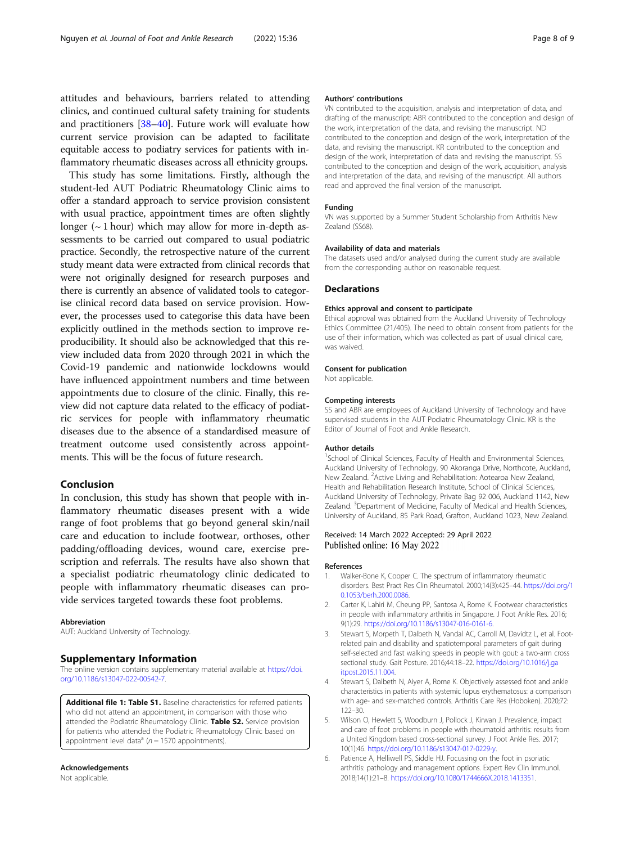<span id="page-7-0"></span>attitudes and behaviours, barriers related to attending clinics, and continued cultural safety training for students and practitioners [\[38](#page-8-0)–[40](#page-8-0)]. Future work will evaluate how current service provision can be adapted to facilitate equitable access to podiatry services for patients with inflammatory rheumatic diseases across all ethnicity groups.

This study has some limitations. Firstly, although the student-led AUT Podiatric Rheumatology Clinic aims to offer a standard approach to service provision consistent with usual practice, appointment times are often slightly longer ( $\sim$  1 hour) which may allow for more in-depth assessments to be carried out compared to usual podiatric practice. Secondly, the retrospective nature of the current study meant data were extracted from clinical records that were not originally designed for research purposes and there is currently an absence of validated tools to categorise clinical record data based on service provision. However, the processes used to categorise this data have been explicitly outlined in the methods section to improve reproducibility. It should also be acknowledged that this review included data from 2020 through 2021 in which the Covid-19 pandemic and nationwide lockdowns would have influenced appointment numbers and time between appointments due to closure of the clinic. Finally, this review did not capture data related to the efficacy of podiatric services for people with inflammatory rheumatic diseases due to the absence of a standardised measure of treatment outcome used consistently across appointments. This will be the focus of future research.

#### Conclusion

In conclusion, this study has shown that people with inflammatory rheumatic diseases present with a wide range of foot problems that go beyond general skin/nail care and education to include footwear, orthoses, other padding/offloading devices, wound care, exercise prescription and referrals. The results have also shown that a specialist podiatric rheumatology clinic dedicated to people with inflammatory rheumatic diseases can provide services targeted towards these foot problems.

#### Abbreviation

AUT: Auckland University of Technology.

#### Supplementary Information

The online version contains supplementary material available at [https://doi.](https://doi.org/10.1186/s13047-022-00542-7) [org/10.1186/s13047-022-00542-7.](https://doi.org/10.1186/s13047-022-00542-7)

Additional file 1: Table S1. Baseline characteristics for referred patients who did not attend an appointment, in comparison with those who attended the Podiatric Rheumatology Clinic. Table S2. Service provision for patients who attended the Podiatric Rheumatology Clinic based on appointment level data<sup>a</sup> ( $n = 1570$  appointments).

#### Acknowledgements

Not applicable.

#### Authors' contributions

VN contributed to the acquisition, analysis and interpretation of data, and drafting of the manuscript; ABR contributed to the conception and design of the work, interpretation of the data, and revising the manuscript. ND contributed to the conception and design of the work, interpretation of the data, and revising the manuscript. KR contributed to the conception and design of the work, interpretation of data and revising the manuscript. SS contributed to the conception and design of the work, acquisition, analysis and interpretation of the data, and revising of the manuscript. All authors read and approved the final version of the manuscript.

#### Funding

VN was supported by a Summer Student Scholarship from Arthritis New Zealand (SS68).

#### Availability of data and materials

The datasets used and/or analysed during the current study are available from the corresponding author on reasonable request.

#### Declarations

#### Ethics approval and consent to participate

Ethical approval was obtained from the Auckland University of Technology Ethics Committee (21/405). The need to obtain consent from patients for the use of their information, which was collected as part of usual clinical care, was waived.

#### Consent for publication

Not applicable.

#### Competing interests

SS and ABR are employees of Auckland University of Technology and have supervised students in the AUT Podiatric Rheumatology Clinic. KR is the Editor of Journal of Foot and Ankle Research.

#### Author details

<sup>1</sup>School of Clinical Sciences, Faculty of Health and Environmental Sciences, Auckland University of Technology, 90 Akoranga Drive, Northcote, Auckland, New Zealand. <sup>2</sup> Active Living and Rehabilitation: Aotearoa New Zealand, Health and Rehabilitation Research Institute, School of Clinical Sciences, Auckland University of Technology, Private Bag 92 006, Auckland 1142, New Zealand. <sup>3</sup>Department of Medicine, Faculty of Medical and Health Sciences, University of Auckland, 85 Park Road, Grafton, Auckland 1023, New Zealand.

#### Received: 14 March 2022 Accepted: 29 April 2022 Published online: 16 May 2022

#### References

- 1. Walker-Bone K, Cooper C. The spectrum of inflammatory rheumatic disorders. Best Pract Res Clin Rheumatol. 2000;14(3):425–44. [https://doi.org/1](https://doi.org/10.1053/berh.2000.0086) [0.1053/berh.2000.0086](https://doi.org/10.1053/berh.2000.0086).
- 2. Carter K, Lahiri M, Cheung PP, Santosa A, Rome K. Footwear characteristics in people with inflammatory arthritis in Singapore. J Foot Ankle Res. 2016; 9(1):29. [https://doi.org/10.1186/s13047-016-0161-6.](https://doi.org/10.1186/s13047-016-0161-6)
- 3. Stewart S, Morpeth T, Dalbeth N, Vandal AC, Carroll M, Davidtz L, et al. Footrelated pain and disability and spatiotemporal parameters of gait during self-selected and fast walking speeds in people with gout: a two-arm cross sectional study. Gait Posture. 2016;44:18–22. [https://doi.org/10.1016/j.ga](https://doi.org/10.1016/j.gaitpost.2015.11.004) [itpost.2015.11.004](https://doi.org/10.1016/j.gaitpost.2015.11.004).
- 4. Stewart S, Dalbeth N, Aiyer A, Rome K. Objectively assessed foot and ankle characteristics in patients with systemic lupus erythematosus: a comparison with age- and sex-matched controls. Arthritis Care Res (Hoboken). 2020;72: 122–30.
- 5. Wilson O, Hewlett S, Woodburn J, Pollock J, Kirwan J. Prevalence, impact and care of foot problems in people with rheumatoid arthritis: results from a United Kingdom based cross-sectional survey. J Foot Ankle Res. 2017; 10(1):46. <https://doi.org/10.1186/s13047-017-0229-y>.
- 6. Patience A, Helliwell PS, Siddle HJ. Focussing on the foot in psoriatic arthritis: pathology and management options. Expert Rev Clin Immunol. 2018;14(1):21–8. [https://doi.org/10.1080/1744666X.2018.1413351.](https://doi.org/10.1080/1744666X.2018.1413351)